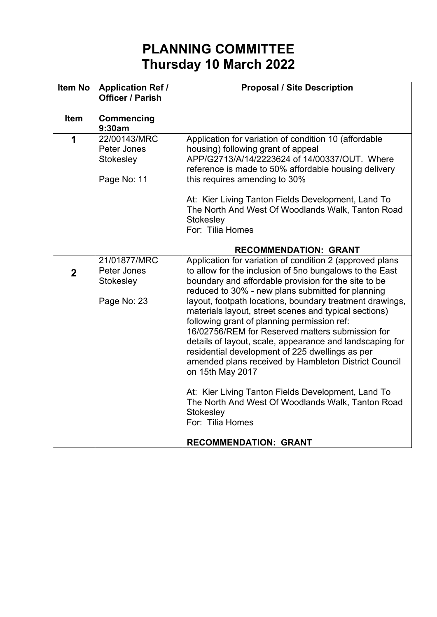## **PLANNING COMMITTEE Thursday 10 March 2022**

| <b>Application Ref /</b><br><b>Officer / Parish</b>     | <b>Proposal / Site Description</b>                                                                                                                                                                                                                                                                                                                                                                                                                                                                                                                                                                                                                                                                                                                                                                                              |
|---------------------------------------------------------|---------------------------------------------------------------------------------------------------------------------------------------------------------------------------------------------------------------------------------------------------------------------------------------------------------------------------------------------------------------------------------------------------------------------------------------------------------------------------------------------------------------------------------------------------------------------------------------------------------------------------------------------------------------------------------------------------------------------------------------------------------------------------------------------------------------------------------|
| <b>Commencing</b><br>9:30am                             |                                                                                                                                                                                                                                                                                                                                                                                                                                                                                                                                                                                                                                                                                                                                                                                                                                 |
| 22/00143/MRC<br>Peter Jones<br>Stokesley<br>Page No: 11 | Application for variation of condition 10 (affordable<br>housing) following grant of appeal<br>APP/G2713/A/14/2223624 of 14/00337/OUT. Where<br>reference is made to 50% affordable housing delivery<br>this requires amending to 30%<br>At: Kier Living Tanton Fields Development, Land To<br>The North And West Of Woodlands Walk, Tanton Road<br>Stokesley<br>For: Tilia Homes                                                                                                                                                                                                                                                                                                                                                                                                                                               |
|                                                         | <b>RECOMMENDATION: GRANT</b>                                                                                                                                                                                                                                                                                                                                                                                                                                                                                                                                                                                                                                                                                                                                                                                                    |
| 21/01877/MRC<br>Peter Jones<br>Stokesley<br>Page No: 23 | Application for variation of condition 2 (approved plans<br>to allow for the inclusion of 5no bungalows to the East<br>boundary and affordable provision for the site to be<br>reduced to 30% - new plans submitted for planning<br>layout, footpath locations, boundary treatment drawings,<br>materials layout, street scenes and typical sections)<br>following grant of planning permission ref:<br>16/02756/REM for Reserved matters submission for<br>details of layout, scale, appearance and landscaping for<br>residential development of 225 dwellings as per<br>amended plans received by Hambleton District Council<br>on 15th May 2017<br>At: Kier Living Tanton Fields Development, Land To<br>The North And West Of Woodlands Walk, Tanton Road<br>Stokesley<br>For: Tilia Homes<br><b>RECOMMENDATION: GRANT</b> |
|                                                         |                                                                                                                                                                                                                                                                                                                                                                                                                                                                                                                                                                                                                                                                                                                                                                                                                                 |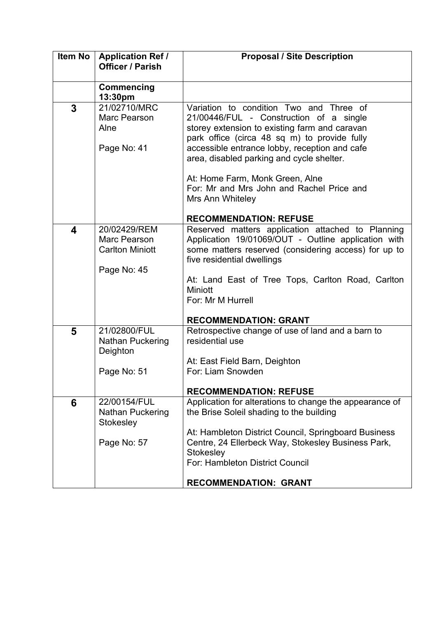| <b>Item No</b> | <b>Application Ref /</b><br><b>Officer / Parish</b> | <b>Proposal / Site Description</b>                                                                          |
|----------------|-----------------------------------------------------|-------------------------------------------------------------------------------------------------------------|
|                |                                                     |                                                                                                             |
|                | Commencing                                          |                                                                                                             |
| 3              | 13:30pm<br>21/02710/MRC                             | Variation to condition Two and Three of                                                                     |
|                | Marc Pearson                                        | 21/00446/FUL - Construction of a single                                                                     |
|                | Alne                                                | storey extension to existing farm and caravan                                                               |
|                |                                                     | park office (circa 48 sq m) to provide fully                                                                |
|                | Page No: 41                                         | accessible entrance lobby, reception and cafe<br>area, disabled parking and cycle shelter.                  |
|                |                                                     |                                                                                                             |
|                |                                                     | At: Home Farm, Monk Green, Alne                                                                             |
|                |                                                     | For: Mr and Mrs John and Rachel Price and<br>Mrs Ann Whiteley                                               |
|                |                                                     |                                                                                                             |
|                |                                                     | <b>RECOMMENDATION: REFUSE</b>                                                                               |
| 4              | 20/02429/REM                                        | Reserved matters application attached to Planning                                                           |
|                | Marc Pearson<br><b>Carlton Miniott</b>              | Application 19/01069/OUT - Outline application with<br>some matters reserved (considering access) for up to |
|                |                                                     | five residential dwellings                                                                                  |
|                | Page No: 45                                         |                                                                                                             |
|                |                                                     | At: Land East of Tree Tops, Carlton Road, Carlton                                                           |
|                |                                                     | <b>Miniott</b><br>For: Mr M Hurrell                                                                         |
|                |                                                     |                                                                                                             |
|                |                                                     | <b>RECOMMENDATION: GRANT</b>                                                                                |
| 5              | 21/02800/FUL                                        | Retrospective change of use of land and a barn to                                                           |
|                | <b>Nathan Puckering</b><br>Deighton                 | residential use                                                                                             |
|                |                                                     | At: East Field Barn, Deighton                                                                               |
|                | Page No: 51                                         | For: Liam Snowden                                                                                           |
|                |                                                     | <b>RECOMMENDATION: REFUSE</b>                                                                               |
| 6              | 22/00154/FUL                                        | Application for alterations to change the appearance of                                                     |
|                | <b>Nathan Puckering</b>                             | the Brise Soleil shading to the building                                                                    |
|                | Stokesley                                           |                                                                                                             |
|                | Page No: 57                                         | At: Hambleton District Council, Springboard Business<br>Centre, 24 Ellerbeck Way, Stokesley Business Park,  |
|                |                                                     | Stokesley                                                                                                   |
|                |                                                     | For: Hambleton District Council                                                                             |
|                |                                                     | <b>RECOMMENDATION: GRANT</b>                                                                                |